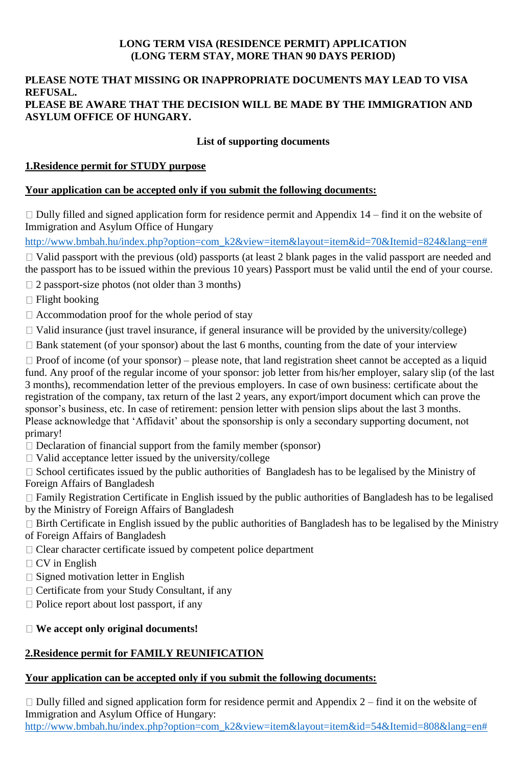#### **LONG TERM VISA (RESIDENCE PERMIT) APPLICATION (LONG TERM STAY, MORE THAN 90 DAYS PERIOD)**

#### **PLEASE NOTE THAT MISSING OR INAPPROPRIATE DOCUMENTS MAY LEAD TO VISA REFUSAL. PLEASE BE AWARE THAT THE DECISION WILL BE MADE BY THE IMMIGRATION AND ASYLUM OFFICE OF HUNGARY.**

## **List of supporting documents**

## **1.Residence permit for STUDY purpose**

#### **Your application can be accepted only if you submit the following documents:**

 $\Box$  Dully filled and signed application form for residence permit and Appendix 14 – find it on the website of Immigration and Asylum Office of Hungary

[http://www.bmbah.hu/index.php?option=com\\_k2&view=item&layout=item&id=70&Itemid=824&lang=en#](http://www.bmbah.hu/index.php?option=com_k2&view=item&layout=item&id=70&Itemid=824&lang=en)

 $\Box$  Valid passport with the previous (old) passports (at least 2 blank pages in the valid passport are needed and the passport has to be issued within the previous 10 years) Passport must be valid until the end of your course.

 $\Box$  2 passport-size photos (not older than 3 months)

 $\Box$  Flight booking

 $\Box$  Accommodation proof for the whole period of stay

 $\Box$  Valid insurance (just travel insurance, if general insurance will be provided by the university/college)

 $\Box$  Bank statement (of your sponsor) about the last 6 months, counting from the date of your interview

 $\Box$  Proof of income (of your sponsor) – please note, that land registration sheet cannot be accepted as a liquid fund. Any proof of the regular income of your sponsor: job letter from his/her employer, salary slip (of the last 3 months), recommendation letter of the previous employers. In case of own business: certificate about the registration of the company, tax return of the last 2 years, any export/import document which can prove the sponsor's business, etc. In case of retirement: pension letter with pension slips about the last 3 months. Please acknowledge that 'Affidavit' about the sponsorship is only a secondary supporting document, not primary!

- $\Box$  Declaration of financial support from the family member (sponsor)
- $\Box$  Valid acceptance letter issued by the university/college

 $\Box$  School certificates issued by the public authorities of Bangladesh has to be legalised by the Ministry of Foreign Affairs of Bangladesh

Family Registration Certificate in English issued by the public authorities of Bangladesh has to be legalised by the Ministry of Foreign Affairs of Bangladesh

 $\Box$  Birth Certificate in English issued by the public authorities of Bangladesh has to be legalised by the Ministry of Foreign Affairs of Bangladesh

- $\Box$  Clear character certificate issued by competent police department
- $\Box$  CV in English
- $\Box$  Signed motivation letter in English
- $\Box$  Certificate from your Study Consultant, if any
- $\Box$  Police report about lost passport, if any

## **We accept only original documents!**

## **2.Residence permit for FAMILY REUNIFICATION**

#### **Your application can be accepted only if you submit the following documents:**

 $\Box$  Dully filled and signed application form for residence permit and Appendix 2 – find it on the website of Immigration and Asylum Office of Hungary: [http://www.bmbah.hu/index.php?option=com\\_k2&view=item&layout=item&id=54&Itemid=808&lang=en#](http://www.bmbah.hu/index.php?option=com_k2&view=item&layout=item&id=54&Itemid=808&lang=en)